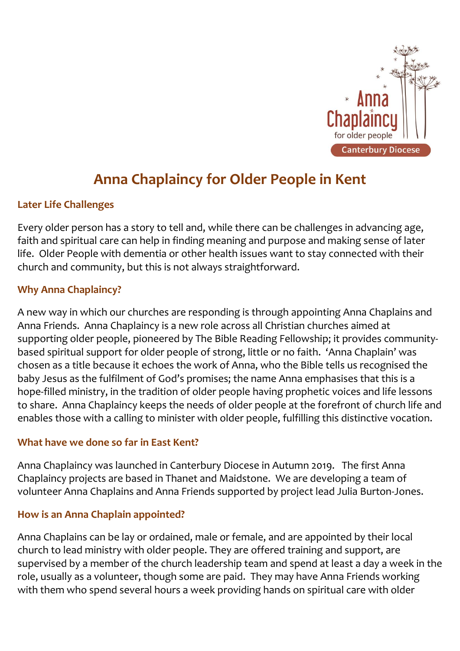

# **Anna Chaplaincy for Older People in Kent**

# **Later Life Challenges**

Every older person has a story to tell and, while there can be challenges in advancing age, faith and spiritual care can help in finding meaning and purpose and making sense of later life. Older People with dementia or other health issues want to stay connected with their church and community, but this is not always straightforward.

### **Why Anna Chaplaincy?**

A new way in which our churches are responding is through appointing Anna Chaplains and Anna Friends. Anna Chaplaincy is a new role across all Christian churches aimed at supporting older people, pioneered by The Bible Reading Fellowship; it provides communitybased spiritual support for older people of strong, little or no faith. 'Anna Chaplain' was chosen as a title because it echoes the work of Anna, who the Bible tells us recognised the baby Jesus as the fulfilment of God's promises; the name Anna emphasises that this is a hope-filled ministry, in the tradition of older people having prophetic voices and life lessons to share. Anna Chaplaincy keeps the needs of older people at the forefront of church life and enables those with a calling to minister with older people, fulfilling this distinctive vocation.

#### **What have we done so far in East Kent?**

Anna Chaplaincy was launched in Canterbury Diocese in Autumn 2019. The first Anna Chaplaincy projects are based in Thanet and Maidstone. We are developing a team of volunteer Anna Chaplains and Anna Friends supported by project lead Julia Burton-Jones.

### **How is an Anna Chaplain appointed?**

Anna Chaplains can be lay or ordained, male or female, and are appointed by their local church to lead ministry with older people. They are offered training and support, are supervised by a member of the church leadership team and spend at least a day a week in the role, usually as a volunteer, though some are paid. They may have Anna Friends working with them who spend several hours a week providing hands on spiritual care with older